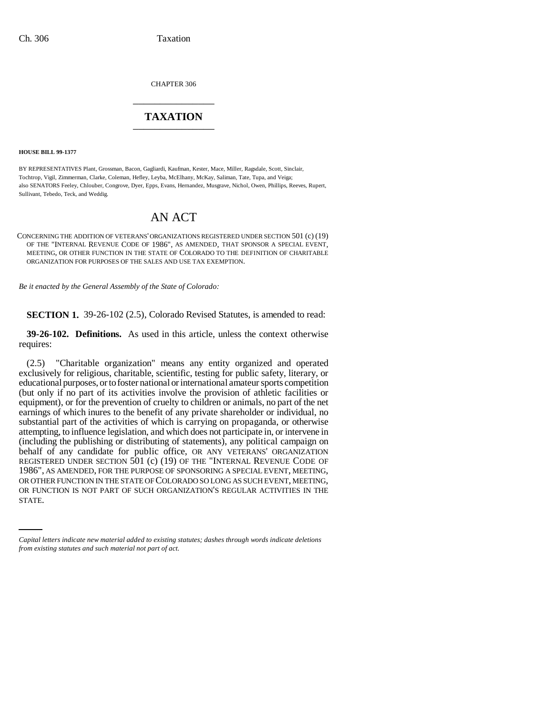CHAPTER 306 \_\_\_\_\_\_\_\_\_\_\_\_\_\_\_

## **TAXATION** \_\_\_\_\_\_\_\_\_\_\_\_\_\_\_

**HOUSE BILL 99-1377** 

BY REPRESENTATIVES Plant, Grossman, Bacon, Gagliardi, Kaufman, Kester, Mace, Miller, Ragsdale, Scott, Sinclair, Tochtrop, Vigil, Zimmerman, Clarke, Coleman, Hefley, Leyba, McElhany, McKay, Saliman, Tate, Tupa, and Veiga; also SENATORS Feeley, Chlouber, Congrove, Dyer, Epps, Evans, Hernandez, Musgrave, Nichol, Owen, Phillips, Reeves, Rupert, Sullivant, Tebedo, Teck, and Weddig.

## AN ACT

CONCERNING THE ADDITION OF VETERANS' ORGANIZATIONS REGISTERED UNDER SECTION 501 (c) (19) OF THE "INTERNAL REVENUE CODE OF 1986", AS AMENDED, THAT SPONSOR A SPECIAL EVENT, MEETING, OR OTHER FUNCTION IN THE STATE OF COLORADO TO THE DEFINITION OF CHARITABLE ORGANIZATION FOR PURPOSES OF THE SALES AND USE TAX EXEMPTION.

*Be it enacted by the General Assembly of the State of Colorado:*

**SECTION 1.** 39-26-102 (2.5), Colorado Revised Statutes, is amended to read:

**39-26-102. Definitions.** As used in this article, unless the context otherwise requires:

OR OTHER FUNCTION IN THE STATE OF COLORADO SO LONG AS SUCH EVENT, MEETING, (2.5) "Charitable organization" means any entity organized and operated exclusively for religious, charitable, scientific, testing for public safety, literary, or educational purposes, or to foster national or international amateur sports competition (but only if no part of its activities involve the provision of athletic facilities or equipment), or for the prevention of cruelty to children or animals, no part of the net earnings of which inures to the benefit of any private shareholder or individual, no substantial part of the activities of which is carrying on propaganda, or otherwise attempting, to influence legislation, and which does not participate in, or intervene in (including the publishing or distributing of statements), any political campaign on behalf of any candidate for public office, OR ANY VETERANS' ORGANIZATION REGISTERED UNDER SECTION 501 (c) (19) OF THE "INTERNAL REVENUE CODE OF 1986", AS AMENDED, FOR THE PURPOSE OF SPONSORING A SPECIAL EVENT, MEETING, OR FUNCTION IS NOT PART OF SUCH ORGANIZATION'S REGULAR ACTIVITIES IN THE STATE.

*Capital letters indicate new material added to existing statutes; dashes through words indicate deletions from existing statutes and such material not part of act.*